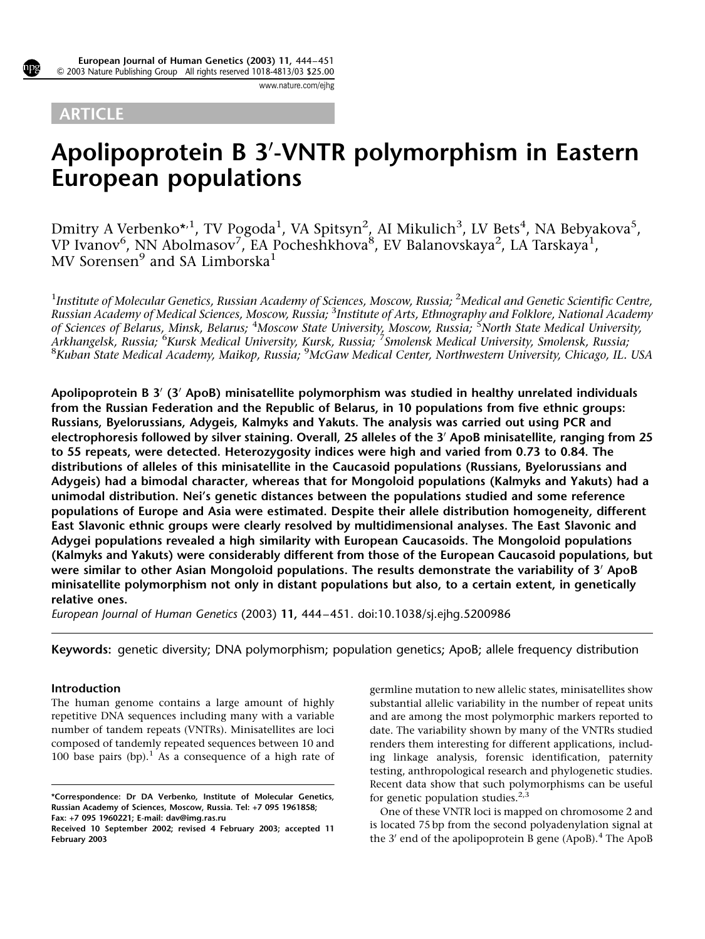

www.nature.com/ejhg

# ARTICLE

# Apolipoprotein B 3'-VNTR polymorphism in Eastern European populations

Dmitry A Verbenko\*<sup>,1</sup>, TV Pogoda<sup>1</sup>, VA Spitsyn<sup>2</sup>, AI Mikulich<sup>3</sup>, LV Bets<sup>4</sup>, NA Bebyakova<sup>5</sup>, VP Ivanov<sup>6</sup>, NN Abolmasov<sup>7</sup>, EA Pocheshkhova<sup>8</sup>, EV Balanovskaya<sup>2</sup>, LA Tarskaya<sup>1</sup>, MV Sorensen $9$  and SA Limborska<sup>1</sup>

 $^1$ Institute of Molecular Genetics, Russian Academy of Sciences, Moscow, Russia;  $^2$ Medical and Genetic Scientific Centre, Russian Academy of Medical Sciences, Moscow, Russia; <sup>3</sup>Institute of Arts, Ethnography and Folklore, National Academy of Sciences of Belarus, Minsk, Belarus; <sup>4</sup>Moscow State University, Moscow, Russia; <sup>5</sup>North State Medical University, Árkhangelsk, Russia; <sup>6</sup>Kursk Medical University, Kursk, Russia; <sup>7</sup>Smolensk Medical University, Smolensk, Russia;<br><sup>8</sup>Kuban State Medical Academy, Maikon, Russia: <sup>9</sup>McCaw Medical Center, Northwestern Hniversity, Chicago, Kuban State Medical Academy, Maikop, Russia; <sup>9</sup>McGaw Medical Center, Northwestern University, Chicago, IL. USA

Apolipoprotein B 3' (3' ApoB) minisatellite polymorphism was studied in healthy unrelated individuals from the Russian Federation and the Republic of Belarus, in 10 populations from five ethnic groups: Russians, Byelorussians, Adygeis, Kalmyks and Yakuts. The analysis was carried out using PCR and electrophoresis followed by silver staining. Overall, 25 alleles of the 3' ApoB minisatellite, ranging from 25 to 55 repeats, were detected. Heterozygosity indices were high and varied from 0.73 to 0.84. The distributions of alleles of this minisatellite in the Caucasoid populations (Russians, Byelorussians and Adygeis) had a bimodal character, whereas that for Mongoloid populations (Kalmyks and Yakuts) had a unimodal distribution. Nei's genetic distances between the populations studied and some reference populations of Europe and Asia were estimated. Despite their allele distribution homogeneity, different East Slavonic ethnic groups were clearly resolved by multidimensional analyses. The East Slavonic and Adygei populations revealed a high similarity with European Caucasoids. The Mongoloid populations (Kalmyks and Yakuts) were considerably different from those of the European Caucasoid populations, but were similar to other Asian Mongoloid populations. The results demonstrate the variability of 3' ApoB minisatellite polymorphism not only in distant populations but also, to a certain extent, in genetically relative ones.

European Journal of Human Genetics (2003) 11, 444–451. doi:10.1038/sj.ejhg.5200986

Keywords: genetic diversity; DNA polymorphism; population genetics; ApoB; allele frequency distribution

# Introduction

The human genome contains a large amount of highly repetitive DNA sequences including many with a variable number of tandem repeats (VNTRs). Minisatellites are loci composed of tandemly repeated sequences between 10 and 100 base pairs (bp).<sup>1</sup> As a consequence of a high rate of germline mutation to new allelic states, minisatellites show substantial allelic variability in the number of repeat units and are among the most polymorphic markers reported to date. The variability shown by many of the VNTRs studied renders them interesting for different applications, including linkage analysis, forensic identification, paternity testing, anthropological research and phylogenetic studies. Recent data show that such polymorphisms can be useful for genetic population studies. $2,3$ 

One of these VNTR loci is mapped on chromosome 2 and is located 75 bp from the second polyadenylation signal at the 3' end of the apolipoprotein B gene (ApoB). $4$  The ApoB

<sup>\*</sup>Correspondence: Dr DA Verbenko, Institute of Molecular Genetics, Russian Academy of Sciences, Moscow, Russia. Tel: +7 095 1961858; Fax: +7 095 1960221; E-mail: dav@img.ras.ru

Received 10 September 2002; revised 4 February 2003; accepted 11 February 2003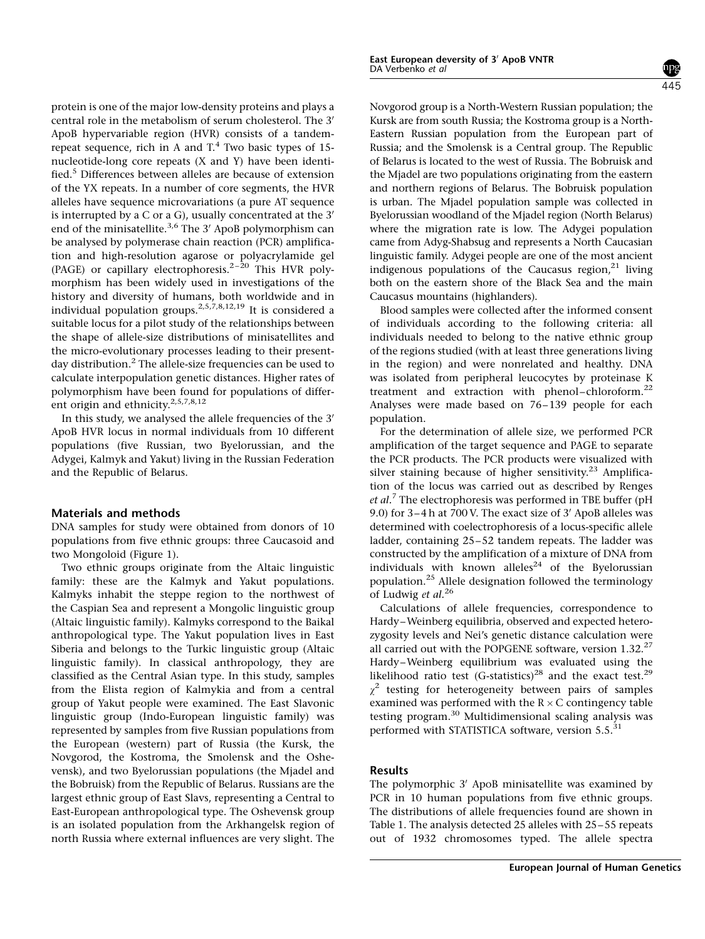protein is one of the major low-density proteins and plays a central role in the metabolism of serum cholesterol. The 3' ApoB hypervariable region (HVR) consists of a tandemrepeat sequence, rich in A and  $T<sup>4</sup>$  Two basic types of 15nucleotide-long core repeats (X and Y) have been identified.<sup>5</sup> Differences between alleles are because of extension of the YX repeats. In a number of core segments, the HVR alleles have sequence microvariations (a pure AT sequence is interrupted by a C or a G), usually concentrated at the  $3'$ end of the minisatellite.<sup>3,6</sup> The 3' ApoB polymorphism can be analysed by polymerase chain reaction (PCR) amplification and high-resolution agarose or polyacrylamide gel (PAGE) or capillary electrophoresis.<sup>2-20</sup> This HVR polymorphism has been widely used in investigations of the history and diversity of humans, both worldwide and in individual population groups.<sup>2,5,7,8,12,19</sup> It is considered a suitable locus for a pilot study of the relationships between the shape of allele-size distributions of minisatellites and the micro-evolutionary processes leading to their presentday distribution.<sup>2</sup> The allele-size frequencies can be used to calculate interpopulation genetic distances. Higher rates of polymorphism have been found for populations of different origin and ethnicity.<sup>2,5,7,8,12</sup>

In this study, we analysed the allele frequencies of the  $3'$ ApoB HVR locus in normal individuals from 10 different populations (five Russian, two Byelorussian, and the Adygei, Kalmyk and Yakut) living in the Russian Federation and the Republic of Belarus.

#### Materials and methods

DNA samples for study were obtained from donors of 10 populations from five ethnic groups: three Caucasoid and two Mongoloid (Figure 1).

Two ethnic groups originate from the Altaic linguistic family: these are the Kalmyk and Yakut populations. Kalmyks inhabit the steppe region to the northwest of the Caspian Sea and represent a Mongolic linguistic group (Altaic linguistic family). Kalmyks correspond to the Baikal anthropological type. The Yakut population lives in East Siberia and belongs to the Turkic linguistic group (Altaic linguistic family). In classical anthropology, they are classified as the Central Asian type. In this study, samples from the Elista region of Kalmykia and from a central group of Yakut people were examined. The East Slavonic linguistic group (Indo-European linguistic family) was represented by samples from five Russian populations from the European (western) part of Russia (the Kursk, the Novgorod, the Kostroma, the Smolensk and the Oshevensk), and two Byelorussian populations (the Mjadel and the Bobruisk) from the Republic of Belarus. Russians are the largest ethnic group of East Slavs, representing a Central to East-European anthropological type. The Oshevensk group is an isolated population from the Arkhangelsk region of north Russia where external influences are very slight. The Novgorod group is a North-Western Russian population; the Kursk are from south Russia; the Kostroma group is a North-Eastern Russian population from the European part of Russia; and the Smolensk is a Central group. The Republic of Belarus is located to the west of Russia. The Bobruisk and the Mjadel are two populations originating from the eastern and northern regions of Belarus. The Bobruisk population is urban. The Mjadel population sample was collected in Byelorussian woodland of the Mjadel region (North Belarus) where the migration rate is low. The Adygei population came from Adyg-Shabsug and represents a North Caucasian linguistic family. Adygei people are one of the most ancient indigenous populations of the Caucasus region, $21$  living both on the eastern shore of the Black Sea and the main Caucasus mountains (highlanders).

Blood samples were collected after the informed consent of individuals according to the following criteria: all individuals needed to belong to the native ethnic group of the regions studied (with at least three generations living in the region) and were nonrelated and healthy. DNA was isolated from peripheral leucocytes by proteinase K treatment and extraction with phenol–chloroform.<sup>22</sup> Analyses were made based on 76–139 people for each population.

For the determination of allele size, we performed PCR amplification of the target sequence and PAGE to separate the PCR products. The PCR products were visualized with silver staining because of higher sensitivity.<sup>23</sup> Amplification of the locus was carried out as described by Renges *et al.*<sup>7</sup> The electrophoresis was performed in TBE buffer (pH 9.0) for  $3-4h$  at 700 V. The exact size of 3' ApoB alleles was determined with coelectrophoresis of a locus-specific allele ladder, containing 25–52 tandem repeats. The ladder was constructed by the amplification of a mixture of DNA from individuals with known alleles<sup>24</sup> of the Byelorussian population.<sup>25</sup> Allele designation followed the terminology of Ludwig et al.<sup>26</sup>

Calculations of allele frequencies, correspondence to Hardy–Weinberg equilibria, observed and expected heterozygosity levels and Nei's genetic distance calculation were all carried out with the POPGENE software, version  $1.32^{27}$ Hardy–Weinberg equilibrium was evaluated using the likelihood ratio test (G-statistics)<sup>28</sup> and the exact test.<sup>29</sup>  $\chi^2$  testing for heterogeneity between pairs of samples examined was performed with the R  $\times$  C contingency table testing program.<sup>30</sup> Multidimensional scaling analysis was performed with STATISTICA software, version 5.5.<sup>31</sup>

## Results

The polymorphic  $3'$  ApoB minisatellite was examined by PCR in 10 human populations from five ethnic groups. The distributions of allele frequencies found are shown in Table 1. The analysis detected 25 alleles with 25–55 repeats out of 1932 chromosomes typed. The allele spectra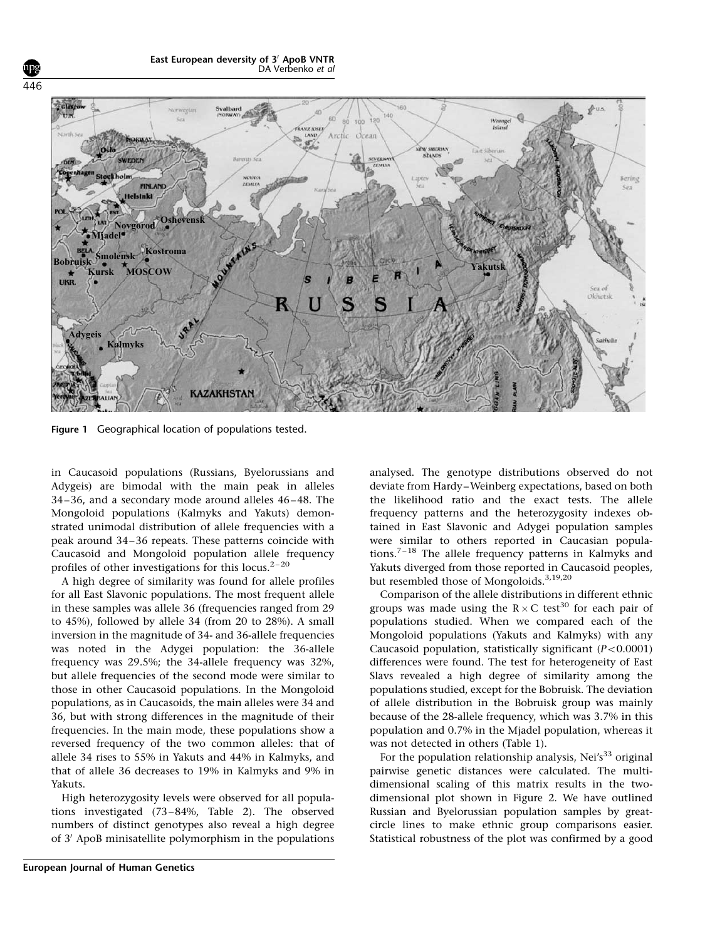

Figure 1 Geographical location of populations tested.

in Caucasoid populations (Russians, Byelorussians and Adygeis) are bimodal with the main peak in alleles 34–36, and a secondary mode around alleles 46–48. The Mongoloid populations (Kalmyks and Yakuts) demonstrated unimodal distribution of allele frequencies with a peak around 34–36 repeats. These patterns coincide with Caucasoid and Mongoloid population allele frequency profiles of other investigations for this locus. $2-20$ 

A high degree of similarity was found for allele profiles for all East Slavonic populations. The most frequent allele in these samples was allele 36 (frequencies ranged from 29 to 45%), followed by allele 34 (from 20 to 28%). A small inversion in the magnitude of 34- and 36-allele frequencies was noted in the Adygei population: the 36-allele frequency was 29.5%; the 34-allele frequency was 32%, but allele frequencies of the second mode were similar to those in other Caucasoid populations. In the Mongoloid populations, as in Caucasoids, the main alleles were 34 and 36, but with strong differences in the magnitude of their frequencies. In the main mode, these populations show a reversed frequency of the two common alleles: that of allele 34 rises to 55% in Yakuts and 44% in Kalmyks, and that of allele 36 decreases to 19% in Kalmyks and 9% in Yakuts.

High heterozygosity levels were observed for all populations investigated (73–84%, Table 2). The observed numbers of distinct genotypes also reveal a high degree of 3' ApoB minisatellite polymorphism in the populations analysed. The genotype distributions observed do not deviate from Hardy–Weinberg expectations, based on both the likelihood ratio and the exact tests. The allele frequency patterns and the heterozygosity indexes obtained in East Slavonic and Adygei population samples were similar to others reported in Caucasian populations.<sup>7-18</sup> The allele frequency patterns in Kalmyks and Yakuts diverged from those reported in Caucasoid peoples, but resembled those of Mongoloids.3,19,20

Comparison of the allele distributions in different ethnic groups was made using the R  $\times$  C test $^{30}$  for each pair of populations studied. When we compared each of the Mongoloid populations (Yakuts and Kalmyks) with any Caucasoid population, statistically significant  $(P<0.0001)$ differences were found. The test for heterogeneity of East Slavs revealed a high degree of similarity among the populations studied, except for the Bobruisk. The deviation of allele distribution in the Bobruisk group was mainly because of the 28-allele frequency, which was 3.7% in this population and 0.7% in the Mjadel population, whereas it was not detected in others (Table 1).

For the population relationship analysis, Nei's<sup>33</sup> original pairwise genetic distances were calculated. The multidimensional scaling of this matrix results in the twodimensional plot shown in Figure 2. We have outlined Russian and Byelorussian population samples by greatcircle lines to make ethnic group comparisons easier. Statistical robustness of the plot was confirmed by a good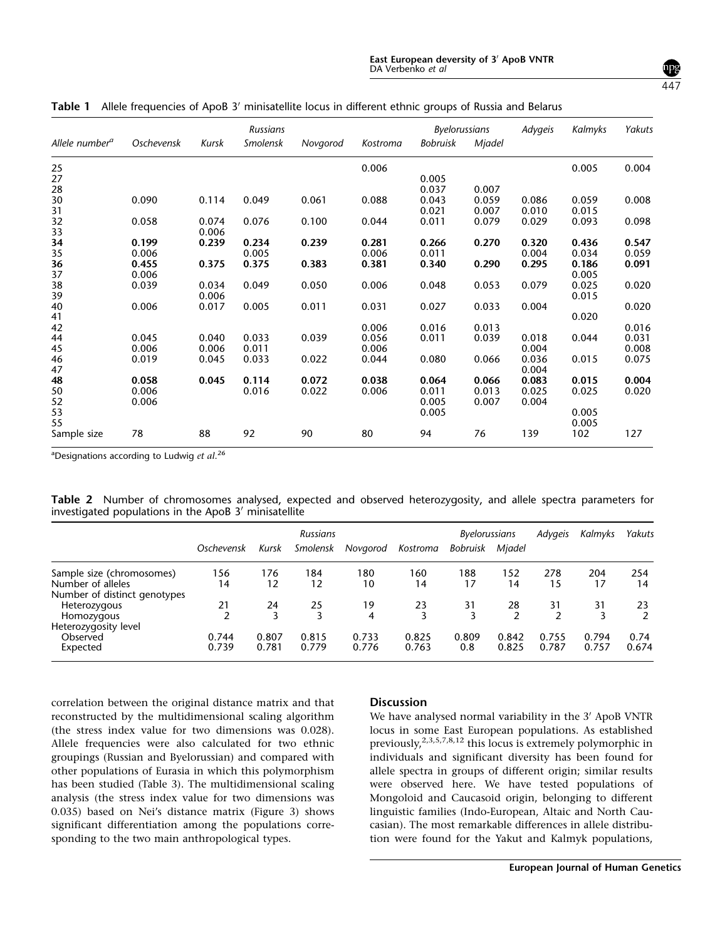|                            |            |       | Russians |          |          | <b>Byelorussians</b> |        | Adygeis | Kalmyks | Yakuts |  |
|----------------------------|------------|-------|----------|----------|----------|----------------------|--------|---------|---------|--------|--|
| Allele number <sup>a</sup> | Oschevensk | Kursk | Smolensk | Novgorod | Kostroma | <b>Bobruisk</b>      | Mjadel |         |         |        |  |
| 25                         |            |       |          |          | 0.006    |                      |        |         | 0.005   | 0.004  |  |
| 27                         |            |       |          |          |          | 0.005                |        |         |         |        |  |
| 28                         |            |       |          |          |          | 0.037                | 0.007  |         |         |        |  |
| 30                         | 0.090      | 0.114 | 0.049    | 0.061    | 0.088    | 0.043                | 0.059  | 0.086   | 0.059   | 0.008  |  |
| 31                         |            |       |          |          |          | 0.021                | 0.007  | 0.010   | 0.015   |        |  |
| 32                         | 0.058      | 0.074 | 0.076    | 0.100    | 0.044    | 0.011                | 0.079  | 0.029   | 0.093   | 0.098  |  |
| 33                         |            | 0.006 |          |          |          |                      |        |         |         |        |  |
| 34                         | 0.199      | 0.239 | 0.234    | 0.239    | 0.281    | 0.266                | 0.270  | 0.320   | 0.436   | 0.547  |  |
| 35                         | 0.006      |       | 0.005    |          | 0.006    | 0.011                |        | 0.004   | 0.034   | 0.059  |  |
| 36                         | 0.455      | 0.375 | 0.375    | 0.383    | 0.381    | 0.340                | 0.290  | 0.295   | 0.186   | 0.091  |  |
| 37                         | 0.006      |       |          |          |          |                      |        |         | 0.005   |        |  |
| 38                         | 0.039      | 0.034 | 0.049    | 0.050    | 0.006    | 0.048                | 0.053  | 0.079   | 0.025   | 0.020  |  |
| 39                         |            | 0.006 |          |          |          |                      |        |         | 0.015   |        |  |
| 40                         | 0.006      | 0.017 | 0.005    | 0.011    | 0.031    | 0.027                | 0.033  | 0.004   |         | 0.020  |  |
| 41                         |            |       |          |          |          |                      |        |         | 0.020   |        |  |
| 42                         |            |       |          |          | 0.006    | 0.016                | 0.013  |         |         | 0.016  |  |
| 44                         | 0.045      | 0.040 | 0.033    | 0.039    | 0.056    | 0.011                | 0.039  | 0.018   | 0.044   | 0.031  |  |
| 45                         | 0.006      | 0.006 | 0.011    |          | 0.006    |                      |        | 0.004   |         | 0.008  |  |
| 46                         | 0.019      | 0.045 | 0.033    | 0.022    | 0.044    | 0.080                | 0.066  | 0.036   | 0.015   | 0.075  |  |
| 47                         |            |       |          |          |          |                      |        | 0.004   |         |        |  |
| 48                         | 0.058      | 0.045 | 0.114    | 0.072    | 0.038    | 0.064                | 0.066  | 0.083   | 0.015   | 0.004  |  |
| 50                         | 0.006      |       | 0.016    | 0.022    | 0.006    | 0.011                | 0.013  | 0.025   | 0.025   | 0.020  |  |
| 52                         | 0.006      |       |          |          |          | 0.005                | 0.007  | 0.004   |         |        |  |
| 53                         |            |       |          |          |          | 0.005                |        |         | 0.005   |        |  |
| 55                         |            |       |          |          |          |                      |        |         | 0.005   |        |  |
| Sample size                | 78         | 88    | 92       | 90       | 80       | 94                   | 76     | 139     | 102     | 127    |  |

Table 1 Allele frequencies of ApoB 3' minisatellite locus in different ethnic groups of Russia and Belarus

<sup>a</sup>Designations according to Ludwig et al.<sup>26</sup>

|  |                                                       |  |  | Table 2 Number of chromosomes analysed, expected and observed heterozygosity, and allele spectra parameters for |  |  |  |
|--|-------------------------------------------------------|--|--|-----------------------------------------------------------------------------------------------------------------|--|--|--|
|  | investigated populations in the ApoB 3' minisatellite |  |  |                                                                                                                 |  |  |  |

|                              |                |                | Russians       |                | <i>Byelorussians</i> |              | Advaeis        | Kalmyks        | Yakuts         |               |
|------------------------------|----------------|----------------|----------------|----------------|----------------------|--------------|----------------|----------------|----------------|---------------|
|                              | Oschevensk     | Kursk          | Smolensk       | Novgorod       | Kostroma             | Bobruisk     | Mjadel         |                |                |               |
| Sample size (chromosomes)    | 156            | 176            | 184            | 180            | 160                  | 188          | 152            | 278            | 204            | 254           |
| Number of alleles            | 14             | 12             | 12             | 10             | 14                   | 17           | 14             | 15             | 17             | 14            |
| Number of distinct genotypes |                |                |                |                |                      |              |                |                |                |               |
| Heterozygous                 | 21             | 24             | 25             | 19             | 23                   | 31           | 28             | 31             | 31             | 23            |
| Homozygous                   |                |                |                | 4              | 3                    |              |                |                |                |               |
| Heterozygosity level         |                |                |                |                |                      |              |                |                |                |               |
| Observed<br>Expected         | 0.744<br>0.739 | 0.807<br>0.781 | 0.815<br>0.779 | 0.733<br>0.776 | 0.825<br>0.763       | 0.809<br>0.8 | 0.842<br>0.825 | 0.755<br>0.787 | 0.794<br>0.757 | 0.74<br>0.674 |
|                              |                |                |                |                |                      |              |                |                |                |               |

correlation between the original distance matrix and that reconstructed by the multidimensional scaling algorithm (the stress index value for two dimensions was 0.028). Allele frequencies were also calculated for two ethnic groupings (Russian and Byelorussian) and compared with other populations of Eurasia in which this polymorphism has been studied (Table 3). The multidimensional scaling analysis (the stress index value for two dimensions was 0.035) based on Nei's distance matrix (Figure 3) shows significant differentiation among the populations corresponding to the two main anthropological types.

## **Discussion**

We have analysed normal variability in the 3' ApoB VNTR locus in some East European populations. As established previously,2,3,5,7,8,12 this locus is extremely polymorphic in individuals and significant diversity has been found for allele spectra in groups of different origin; similar results were observed here. We have tested populations of Mongoloid and Caucasoid origin, belonging to different linguistic families (Indo-European, Altaic and North Caucasian). The most remarkable differences in allele distribution were found for the Yakut and Kalmyk populations,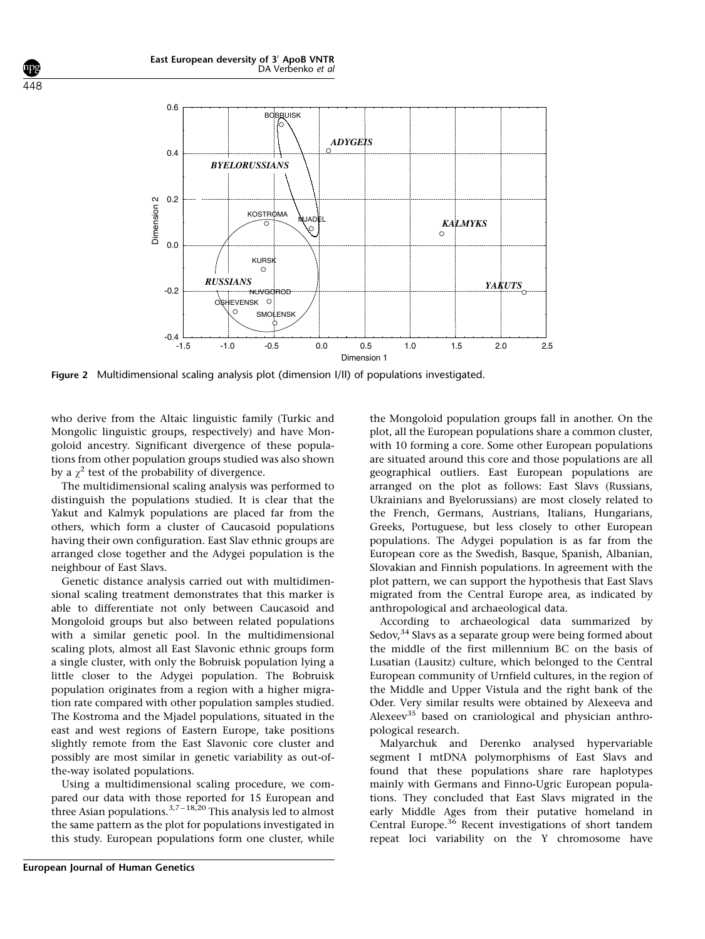

Figure 2 Multidimensional scaling analysis plot (dimension I/II) of populations investigated.

who derive from the Altaic linguistic family (Turkic and Mongolic linguistic groups, respectively) and have Mongoloid ancestry. Significant divergence of these populations from other population groups studied was also shown by a  $\chi^2$  test of the probability of divergence.

The multidimensional scaling analysis was performed to distinguish the populations studied. It is clear that the Yakut and Kalmyk populations are placed far from the others, which form a cluster of Caucasoid populations having their own configuration. East Slav ethnic groups are arranged close together and the Adygei population is the neighbour of East Slavs.

Genetic distance analysis carried out with multidimensional scaling treatment demonstrates that this marker is able to differentiate not only between Caucasoid and Mongoloid groups but also between related populations with a similar genetic pool. In the multidimensional scaling plots, almost all East Slavonic ethnic groups form a single cluster, with only the Bobruisk population lying a little closer to the Adygei population. The Bobruisk population originates from a region with a higher migration rate compared with other population samples studied. The Kostroma and the Mjadel populations, situated in the east and west regions of Eastern Europe, take positions slightly remote from the East Slavonic core cluster and possibly are most similar in genetic variability as out-ofthe-way isolated populations.

Using a multidimensional scaling procedure, we compared our data with those reported for 15 European and three Asian populations.<sup>3,7-18,20</sup> This analysis led to almost the same pattern as the plot for populations investigated in this study. European populations form one cluster, while the Mongoloid population groups fall in another. On the plot, all the European populations share a common cluster, with 10 forming a core. Some other European populations are situated around this core and those populations are all geographical outliers. East European populations are arranged on the plot as follows: East Slavs (Russians, Ukrainians and Byelorussians) are most closely related to the French, Germans, Austrians, Italians, Hungarians, Greeks, Portuguese, but less closely to other European populations. The Adygei population is as far from the European core as the Swedish, Basque, Spanish, Albanian, Slovakian and Finnish populations. In agreement with the plot pattern, we can support the hypothesis that East Slavs migrated from the Central Europe area, as indicated by anthropological and archaeological data.

According to archaeological data summarized by Sedov,<sup>34</sup> Slavs as a separate group were being formed about the middle of the first millennium BC on the basis of Lusatian (Lausitz) culture, which belonged to the Central European community of Urnfield cultures, in the region of the Middle and Upper Vistula and the right bank of the Oder. Very similar results were obtained by Alexeeva and Alexeev<sup>35</sup> based on craniological and physician anthropological research.

Malyarchuk and Derenko analysed hypervariable segment I mtDNA polymorphisms of East Slavs and found that these populations share rare haplotypes mainly with Germans and Finno-Ugric European populations. They concluded that East Slavs migrated in the early Middle Ages from their putative homeland in Central Europe.36 Recent investigations of short tandem repeat loci variability on the Y chromosome have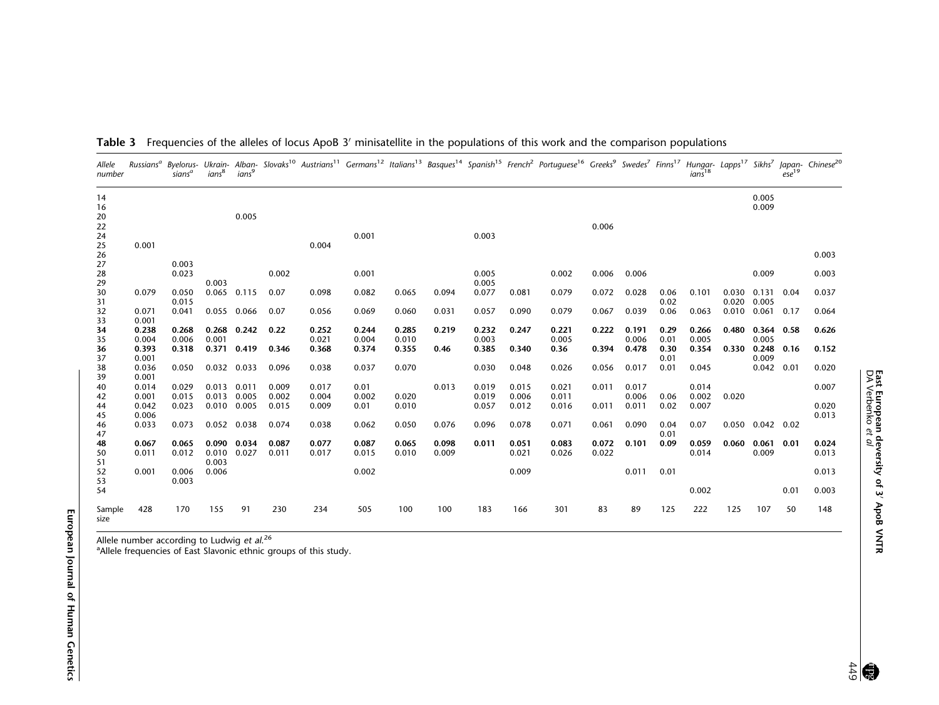| Allele<br>number | Russians <sup>a</sup> |                |                 |       |       |                |                |                |       |                |       | Byelorus- Ukrain- Alban- Slovaks <sup>10</sup> Austrians <sup>11</sup> Germans <sup>12</sup> Italians <sup>13</sup> Basques <sup>14</sup> Spanish <sup>15</sup> French <sup>2</sup> Portuguese <sup>16</sup> Greeks <sup>9</sup> Swedes <sup>7</sup> Finns <sup>17</sup> Hungar- Lapps <sup>17</sup> Sikhs <sup>7</sup><br>sians <sup>8</sup> ians <sup>8</sup> ians <sup>18</sup> |       |                |              |                |             |                  | $e$ se <sup>19</sup> | Japan- Chinese <sup>20</sup> |
|------------------|-----------------------|----------------|-----------------|-------|-------|----------------|----------------|----------------|-------|----------------|-------|------------------------------------------------------------------------------------------------------------------------------------------------------------------------------------------------------------------------------------------------------------------------------------------------------------------------------------------------------------------------------------|-------|----------------|--------------|----------------|-------------|------------------|----------------------|------------------------------|
| 14<br>16<br>20   |                       |                |                 | 0.005 |       |                |                |                |       |                |       |                                                                                                                                                                                                                                                                                                                                                                                    |       |                |              |                |             | 0.005<br>0.009   |                      |                              |
| 22               |                       |                |                 |       |       |                |                |                |       |                |       |                                                                                                                                                                                                                                                                                                                                                                                    | 0.006 |                |              |                |             |                  |                      |                              |
| 24               |                       |                |                 |       |       |                | 0.001          |                |       | 0.003          |       |                                                                                                                                                                                                                                                                                                                                                                                    |       |                |              |                |             |                  |                      |                              |
| 25               | 0.001                 |                |                 |       |       | 0.004          |                |                |       |                |       |                                                                                                                                                                                                                                                                                                                                                                                    |       |                |              |                |             |                  |                      |                              |
| 26               |                       |                |                 |       |       |                |                |                |       |                |       |                                                                                                                                                                                                                                                                                                                                                                                    |       |                |              |                |             |                  |                      | 0.003                        |
| 27<br>28         |                       | 0.003<br>0.023 |                 |       | 0.002 |                | 0.001          |                |       | 0.005          |       | 0.002                                                                                                                                                                                                                                                                                                                                                                              | 0.006 | 0.006          |              |                |             | 0.009            |                      | 0.003                        |
| 29               |                       |                | 0.003           |       |       |                |                |                |       | 0.005          |       |                                                                                                                                                                                                                                                                                                                                                                                    |       |                |              |                |             |                  |                      |                              |
| 30               | 0.079                 | 0.050          | 0.065 0.115     |       | 0.07  | 0.098          | 0.082          | 0.065          | 0.094 | 0.077          | 0.081 | 0.079                                                                                                                                                                                                                                                                                                                                                                              | 0.072 | 0.028          | 0.06         | 0.101          | 0.030       | 0.131            | 0.04                 | 0.037                        |
| 31               |                       | 0.015          |                 |       |       |                |                |                |       |                |       |                                                                                                                                                                                                                                                                                                                                                                                    |       |                | 0.02         |                | 0.020 0.005 |                  |                      |                              |
| 32               | 0.071                 | 0.041          | 0.055 0.066     |       | 0.07  | 0.056          | 0.069          | 0.060          | 0.031 | 0.057          | 0.090 | 0.079                                                                                                                                                                                                                                                                                                                                                                              | 0.067 | 0.039          | 0.06         | 0.063          | 0.010 0.061 |                  | 0.17                 | 0.064                        |
| 33               | 0.001                 |                |                 |       |       |                |                |                |       |                |       |                                                                                                                                                                                                                                                                                                                                                                                    |       |                |              |                |             |                  |                      |                              |
| 34<br>35         | 0.238<br>0.004        | 0.268<br>0.006 | 0.268<br>0.001  | 0.242 | 0.22  | 0.252<br>0.021 | 0.244<br>0.004 | 0.285<br>0.010 | 0.219 | 0.232<br>0.003 | 0.247 | 0.221<br>0.005                                                                                                                                                                                                                                                                                                                                                                     | 0.222 | 0.191<br>0.006 | 0.29<br>0.01 | 0.266<br>0.005 | 0.480       | 0.364<br>0.005   | 0.58                 | 0.626                        |
| 36               | 0.393                 | 0.318          | 0.371           | 0.419 | 0.346 | 0.368          | 0.374          | 0.355          | 0.46  | 0.385          | 0.340 | 0.36                                                                                                                                                                                                                                                                                                                                                                               | 0.394 | 0.478          | 0.30         | 0.354          | 0.330       | 0.248            | 0.16                 | 0.152                        |
| 37               | 0.001                 |                |                 |       |       |                |                |                |       |                |       |                                                                                                                                                                                                                                                                                                                                                                                    |       |                | 0.01         |                |             | 0.009            |                      |                              |
| 38               | 0.036                 | 0.050          | 0.032 0.033     |       | 0.096 | 0.038          | 0.037          | 0.070          |       | 0.030          | 0.048 | 0.026                                                                                                                                                                                                                                                                                                                                                                              | 0.056 | 0.017          | 0.01         | 0.045          |             | 0.042            | 0.01                 | 0.020                        |
| 39               | 0.001                 |                |                 |       |       |                |                |                |       |                |       |                                                                                                                                                                                                                                                                                                                                                                                    |       |                |              |                |             |                  |                      |                              |
| 40               | 0.014                 | 0.029          | 0.013           | 0.011 | 0.009 | 0.017          | 0.01           |                | 0.013 | 0.019          | 0.015 | 0.021                                                                                                                                                                                                                                                                                                                                                                              | 0.011 | 0.017          |              | 0.014          |             |                  |                      | 0.007                        |
| 42               | 0.001                 | 0.015          | 0.013           | 0.005 | 0.002 | 0.004          | 0.002          | 0.020          |       | 0.019          | 0.006 | 0.011                                                                                                                                                                                                                                                                                                                                                                              |       | 0.006          | 0.06         | 0.002          | 0.020       |                  |                      |                              |
| 44               | 0.042                 | 0.023          | 0.010           | 0.005 | 0.015 | 0.009          | 0.01           | 0.010          |       | 0.057          | 0.012 | 0.016                                                                                                                                                                                                                                                                                                                                                                              | 0.011 | 0.011          | 0.02         | 0.007          |             |                  |                      | 0.020                        |
| 45<br>46         | 0.006<br>0.033        | 0.073          | 0.052 0.038     |       | 0.074 | 0.038          | 0.062          | 0.050          | 0.076 | 0.096          | 0.078 | 0.071                                                                                                                                                                                                                                                                                                                                                                              | 0.061 | 0.090          | 0.04         | 0.07           |             | 0.050 0.042 0.02 |                      | 0.013                        |
| 47               |                       |                |                 |       |       |                |                |                |       |                |       |                                                                                                                                                                                                                                                                                                                                                                                    |       |                | 0.01         |                |             |                  |                      |                              |
| 48               | 0.067                 | 0.065          | 0.090           | 0.034 | 0.087 | 0.077          | 0.087          | 0.065          | 0.098 | 0.011          | 0.051 | 0.083                                                                                                                                                                                                                                                                                                                                                                              | 0.072 | 0.101          | 0.09         | 0.059          | 0.060 0.061 |                  | 0.01                 | 0.024                        |
| 50               | 0.011                 | 0.012          | $0.010$ $0.027$ |       | 0.011 | 0.017          | 0.015          | 0.010          | 0.009 |                | 0.021 | 0.026                                                                                                                                                                                                                                                                                                                                                                              | 0.022 |                |              | 0.014          |             | 0.009            |                      | 0.013                        |
| 51               |                       |                | 0.003           |       |       |                |                |                |       |                |       |                                                                                                                                                                                                                                                                                                                                                                                    |       |                |              |                |             |                  |                      |                              |
| 52               | 0.001                 | 0.006          | 0.006           |       |       |                | 0.002          |                |       |                | 0.009 |                                                                                                                                                                                                                                                                                                                                                                                    |       | 0.011          | 0.01         |                |             |                  |                      | 0.013                        |
| 53               |                       | 0.003          |                 |       |       |                |                |                |       |                |       |                                                                                                                                                                                                                                                                                                                                                                                    |       |                |              |                |             |                  |                      |                              |
| 54               |                       |                |                 |       |       |                |                |                |       |                |       |                                                                                                                                                                                                                                                                                                                                                                                    |       |                |              | 0.002          |             |                  | 0.01                 | 0.003                        |
| Sample<br>size   | 428                   | 170            | 155             | 91    | 230   | 234            | 505            | 100            | 100   | 183            | 166   | 301                                                                                                                                                                                                                                                                                                                                                                                | 83    | 89             | 125          | 222            | 125         | 107              | 50                   | 148                          |

**Table 3** Frequencies of the alleles of locus ApoB 3' minisatellite in the populations of this work and the comparison populations

Allele number according to Ludwig *et al.<sup>26</sup>* 

<sup>a</sup>Allele frequencies of East Slavonic ethnic groups of this study.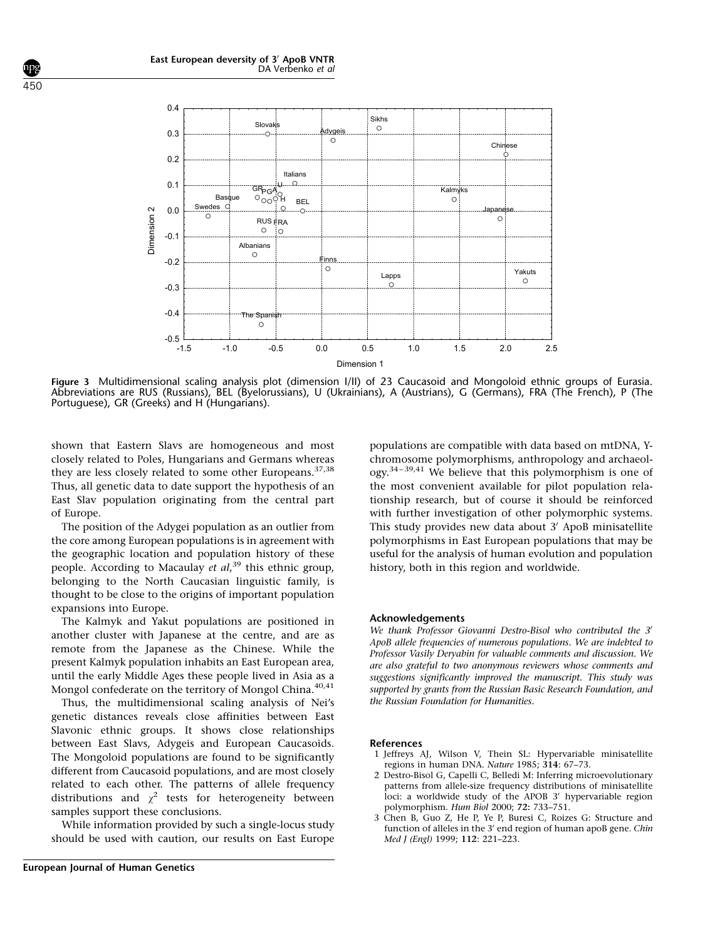

Figure 3 Multidimensional scaling analysis plot (dimension I/II) of 23 Caucasoid and Mongoloid ethnic groups of Eurasia. Abbreviations are RUS (Russians), BEL (Byelorussians), U (Ukrainians), A (Austrians), G (Germans), FRA (The French), P (The Portuguese), GR (Greeks) and H (Hungarians).

shown that Eastern Slavs are homogeneous and most closely related to Poles, Hungarians and Germans whereas they are less closely related to some other Europeans.<sup>37,38</sup> Thus, all genetic data to date support the hypothesis of an East Slav population originating from the central part of Europe.

The position of the Adygei population as an outlier from the core among European populations is in agreement with the geographic location and population history of these people. According to Macaulay et al,<sup>39</sup> this ethnic group, belonging to the North Caucasian linguistic family, is thought to be close to the origins of important population expansions into Europe.

The Kalmyk and Yakut populations are positioned in another cluster with Japanese at the centre, and are as remote from the Japanese as the Chinese. While the present Kalmyk population inhabits an East European area, until the early Middle Ages these people lived in Asia as a Mongol confederate on the territory of Mongol China.<sup>40,41</sup>

Thus, the multidimensional scaling analysis of Nei's genetic distances reveals close affinities between East Slavonic ethnic groups. It shows close relationships between East Slavs, Adygeis and European Caucasoids. The Mongoloid populations are found to be significantly different from Caucasoid populations, and are most closely related to each other. The patterns of allele frequency distributions and  $\chi^2$  tests for heterogeneity between samples support these conclusions.

While information provided by such a single-locus study should be used with caution, our results on East Europe populations are compatible with data based on mtDNA, Ychromosome polymorphisms, anthropology and archaeologv.<sup>34-39,41</sup> We believe that this polymorphism is one of the most convenient available for pilot population relationship research, but of course it should be reinforced with further investigation of other polymorphic systems. This study provides new data about 3' ApoB minisatellite polymorphisms in East European populations that may be useful for the analysis of human evolution and population history, both in this region and worldwide.

#### Acknowledgements

We thank Professor Giovanni Destro-Bisol who contributed the 3' ApoB allele frequencies of numerous populations. We are indebted to Professor Vasily Deryabin for valuable comments and discussion. We are also grateful to two anonymous reviewers whose comments and suggestions significantly improved the manuscript. This study was supported by grants from the Russian Basic Research Foundation, and the Russian Foundation for Humanities.

#### References

- 1 Jeffreys AJ, Wilson V, Thein SL: Hypervariable minisatellite regions in human DNA. Nature 1985; 314: 67–73.
- 2 Destro-Bisol G, Capelli C, Belledi M: Inferring microevolutionary patterns from allele-size frequency distributions of minisatellite loci: a worldwide study of the APOB 3' hypervariable region polymorphism. Hum Biol 2000; 72: 733–751.
- 3 Chen B, Guo Z, He P, Ye P, Buresi C, Roizes G: Structure and function of alleles in the 3' end region of human apoB gene. Chin Med J (Engl) 1999; 112: 221–223.